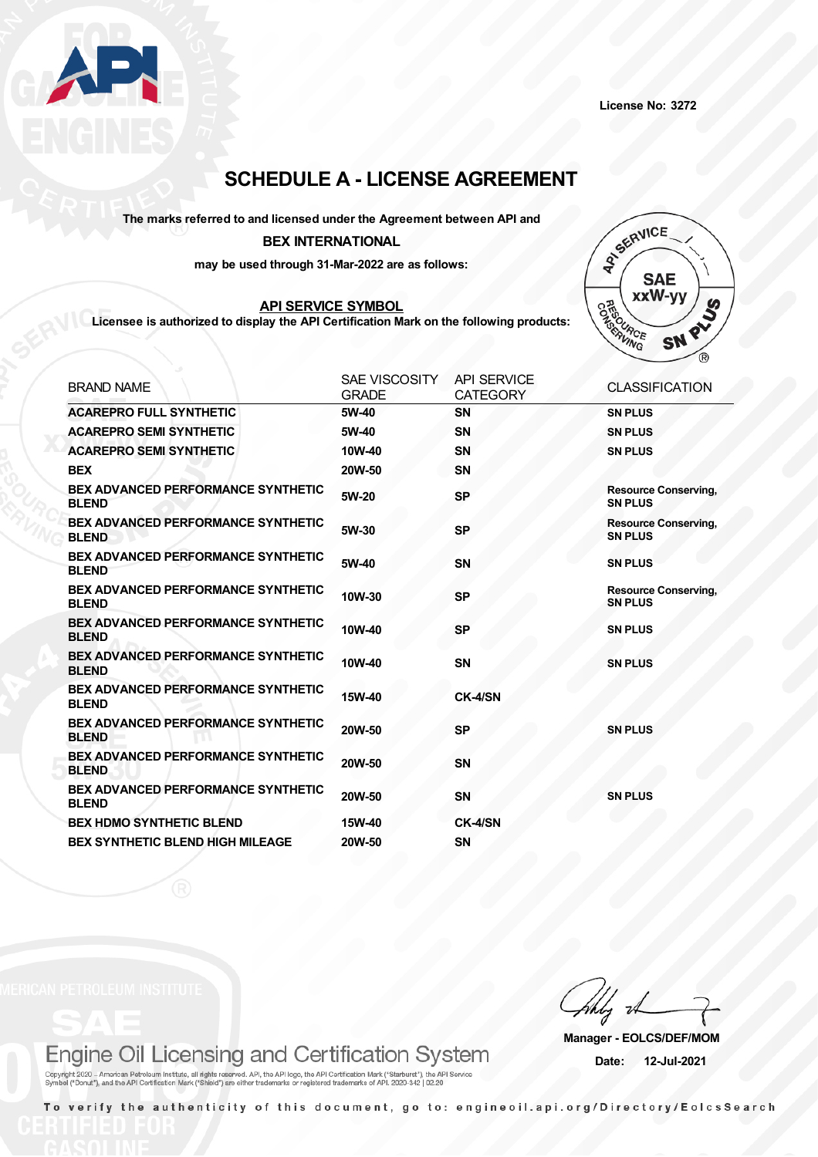

# **SCHEDULE A - LICENSE AGREEMENT**

**The marks referred to and licensed under the Agreement between API and**

### **BEX INTERNATIONAL**

**may be used through 31-Mar-2022 are as follows:**

## **API SERVICE SYMBOL**

**Licensee is authorized to display the API Certification Mark on the following products:**



| <b>BRAND NAME</b>                                         | <b>SAE VISCOSITY</b><br><b>GRADE</b> | <b>API SERVICE</b><br><b>CATEGORY</b> | <b>CLASSIFICATION</b>                         |
|-----------------------------------------------------------|--------------------------------------|---------------------------------------|-----------------------------------------------|
| <b>ACAREPRO FULL SYNTHETIC</b>                            | 5W-40                                | <b>SN</b>                             | <b>SN PLUS</b>                                |
| <b>ACAREPRO SEMI SYNTHETIC</b>                            | 5W-40                                | <b>SN</b>                             | <b>SN PLUS</b>                                |
| <b>ACAREPRO SEMI SYNTHETIC</b>                            | 10W-40                               | <b>SN</b>                             | <b>SN PLUS</b>                                |
| <b>BEX</b>                                                | 20W-50                               | <b>SN</b>                             |                                               |
| <b>BEX ADVANCED PERFORMANCE SYNTHETIC</b><br><b>BLEND</b> | 5W-20                                | <b>SP</b>                             | <b>Resource Conserving,</b><br><b>SN PLUS</b> |
| <b>BEX ADVANCED PERFORMANCE SYNTHETIC</b><br><b>BLEND</b> | 5W-30                                | <b>SP</b>                             | <b>Resource Conserving,</b><br><b>SN PLUS</b> |
| <b>BEX ADVANCED PERFORMANCE SYNTHETIC</b><br><b>BLEND</b> | 5W-40                                | <b>SN</b>                             | <b>SN PLUS</b>                                |
| <b>BEX ADVANCED PERFORMANCE SYNTHETIC</b><br><b>BLEND</b> | 10W-30                               | <b>SP</b>                             | <b>Resource Conserving,</b><br><b>SN PLUS</b> |
| <b>BEX ADVANCED PERFORMANCE SYNTHETIC</b><br><b>BLEND</b> | 10W-40                               | <b>SP</b>                             | <b>SN PLUS</b>                                |
| <b>BEX ADVANCED PERFORMANCE SYNTHETIC</b><br><b>BLEND</b> | 10W-40                               | <b>SN</b>                             | <b>SN PLUS</b>                                |
| <b>BEX ADVANCED PERFORMANCE SYNTHETIC</b><br><b>BLEND</b> | 15W-40                               | CK-4/SN                               |                                               |
| <b>BEX ADVANCED PERFORMANCE SYNTHETIC</b><br><b>BLEND</b> | 20W-50                               | <b>SP</b>                             | <b>SN PLUS</b>                                |
| <b>BEX ADVANCED PERFORMANCE SYNTHETIC</b><br><b>BLEND</b> | 20W-50                               | <b>SN</b>                             |                                               |
| <b>BEX ADVANCED PERFORMANCE SYNTHETIC</b><br><b>BLEND</b> | 20W-50                               | <b>SN</b>                             | <b>SN PLUS</b>                                |
| <b>BEX HDMO SYNTHETIC BLEND</b>                           | 15W-40                               | CK-4/SN                               |                                               |
| <b>BEX SYNTHETIC BLEND HIGH MILEAGE</b>                   | 20W-50                               | <b>SN</b>                             |                                               |

## Engine Oil Licensing and Certification System

**Manager - EOLCS/DEF/MOM Date: 12-Jul-2021**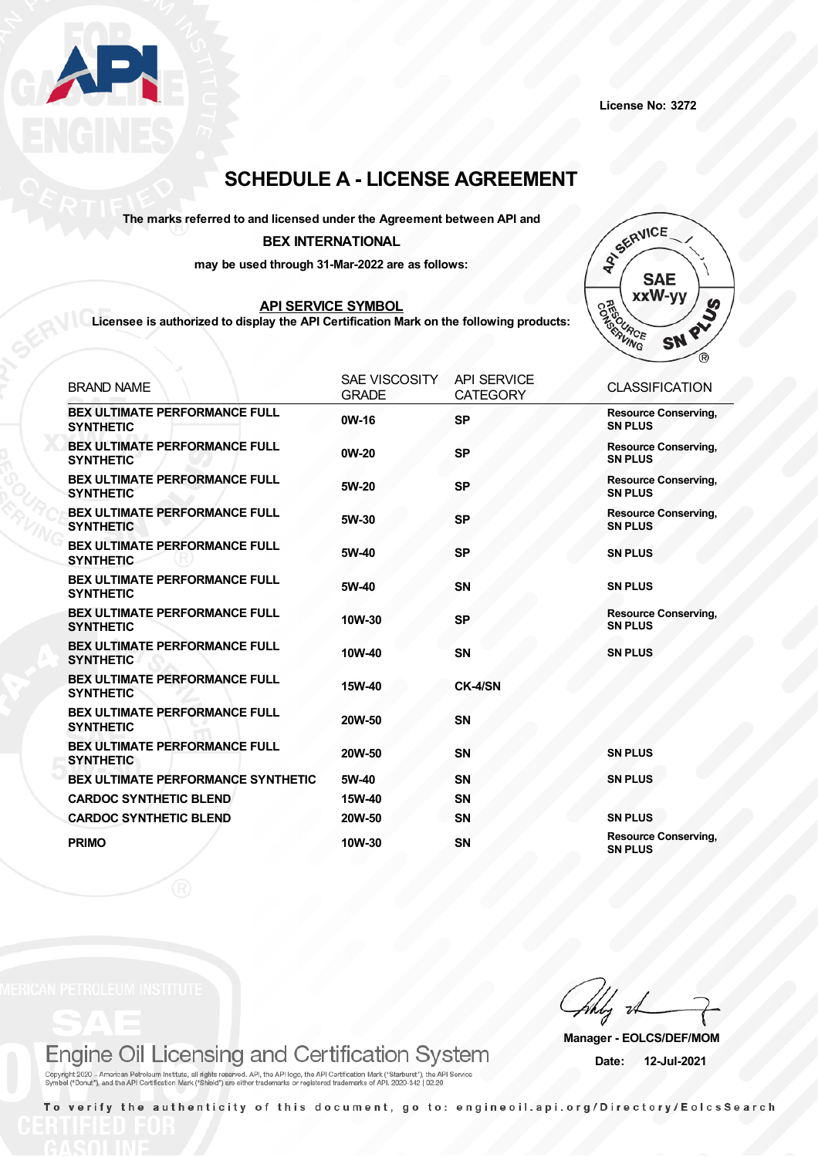

## **SCHEDULE A - LICENSE AGREEMENT**

### **The marks referred to and licensed under the Agreement between API and**

### **BEX INTERNATIONAL**

**may be used through 31-Mar-2022 are as follows:**

### **API SERVICE SYMBOL**

**Licensee is authorized to display the API Certification Mark on the following products:**



| <b>BRAND NAME</b>                                        | <b>SAE VISCOSITY</b><br><b>GRADE</b> | <b>API SERVICE</b><br><b>CATEGORY</b> | <b>CLASSIFICATION</b>                         |
|----------------------------------------------------------|--------------------------------------|---------------------------------------|-----------------------------------------------|
| <b>BEX ULTIMATE PERFORMANCE FULL</b><br><b>SYNTHETIC</b> | 0W-16                                | <b>SP</b>                             | <b>Resource Conserving,</b><br><b>SN PLUS</b> |
| <b>BEX ULTIMATE PERFORMANCE FULL</b><br><b>SYNTHETIC</b> | $0W-20$                              | <b>SP</b>                             | <b>Resource Conserving,</b><br><b>SN PLUS</b> |
| <b>BEX ULTIMATE PERFORMANCE FULL</b><br><b>SYNTHETIC</b> | 5W-20                                | <b>SP</b>                             | <b>Resource Conserving,</b><br><b>SN PLUS</b> |
| <b>BEX ULTIMATE PERFORMANCE FULL</b><br><b>SYNTHETIC</b> | 5W-30                                | <b>SP</b>                             | <b>Resource Conserving,</b><br><b>SN PLUS</b> |
| <b>BEX ULTIMATE PERFORMANCE FULL</b><br><b>SYNTHETIC</b> | 5W-40                                | <b>SP</b>                             | <b>SN PLUS</b>                                |
| <b>BEX ULTIMATE PERFORMANCE FULL</b><br><b>SYNTHETIC</b> | 5W-40                                | <b>SN</b>                             | <b>SN PLUS</b>                                |
| <b>BEX ULTIMATE PERFORMANCE FULL</b><br><b>SYNTHETIC</b> | 10W-30                               | <b>SP</b>                             | <b>Resource Conserving,</b><br><b>SN PLUS</b> |
| <b>BEX ULTIMATE PERFORMANCE FULL</b><br><b>SYNTHETIC</b> | 10W-40                               | <b>SN</b>                             | <b>SN PLUS</b>                                |
| <b>BEX ULTIMATE PERFORMANCE FULL</b><br><b>SYNTHETIC</b> | 15W-40                               | CK-4/SN                               |                                               |
| <b>BEX ULTIMATE PERFORMANCE FULL</b><br><b>SYNTHETIC</b> | 20W-50                               | <b>SN</b>                             |                                               |
| <b>BEX ULTIMATE PERFORMANCE FULL</b><br><b>SYNTHETIC</b> | 20W-50                               | <b>SN</b>                             | <b>SN PLUS</b>                                |
| <b>BEX ULTIMATE PERFORMANCE SYNTHETIC</b>                | 5W-40                                | <b>SN</b>                             | <b>SN PLUS</b>                                |
| <b>CARDOC SYNTHETIC BLEND</b>                            | 15W-40                               | <b>SN</b>                             |                                               |
| <b>CARDOC SYNTHETIC BLEND</b>                            | 20W-50                               | <b>SN</b>                             | <b>SN PLUS</b>                                |
| <b>PRIMO</b>                                             | 10W-30                               | <b>SN</b>                             | <b>Resource Conserving,</b><br><b>SN PLUS</b> |

## Engine Oil Licensing and Certification System

**Manager - EOLCS/DEF/MOM Date: 12-Jul-2021**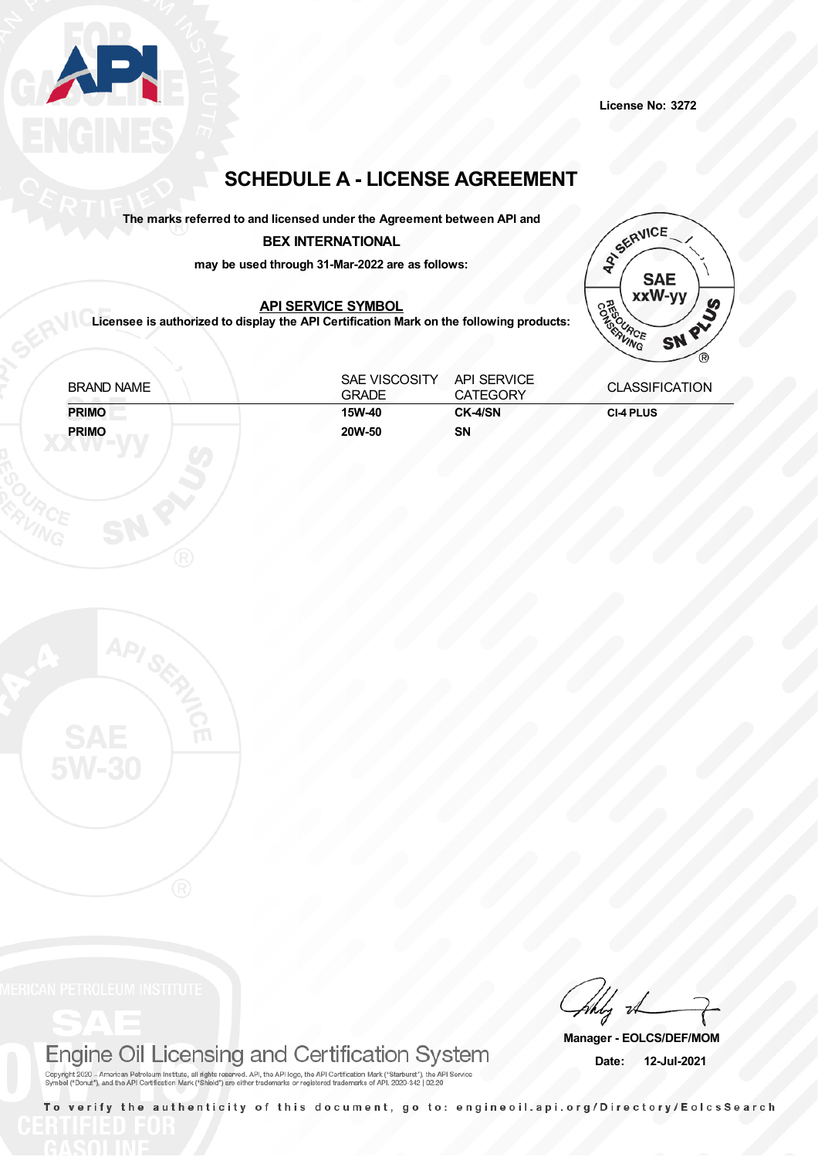

**License No: 3272**

# **SCHEDULE A - LICENSE AGREEMENT**

**The marks referred to and licensed under the Agreement between API and**

## **BEX INTERNATIONAL**

**may be used through 31-Mar-2022 are as follows:**

## **API SERVICE SYMBOL**

**Licensee is authorized to display the API Certification Mark on the following products:**



| <b>BRAND NAME</b> | SAE VISCOSITY<br><b>GRADE</b> | <b>API SERVICE</b><br><b>CATEGORY</b> | <b>CLASSIFICATION</b> |
|-------------------|-------------------------------|---------------------------------------|-----------------------|
| <b>PRIMO</b>      | 15W-40                        | CK-4/SN                               | <b>CI-4 PLUS</b>      |
| <b>PRIMO</b>      | 20W-50                        | SΝ                                    |                       |

# Engine Oil Licensing and Certification System

**Manager - EOLCS/DEF/MOM Date: 12-Jul-2021**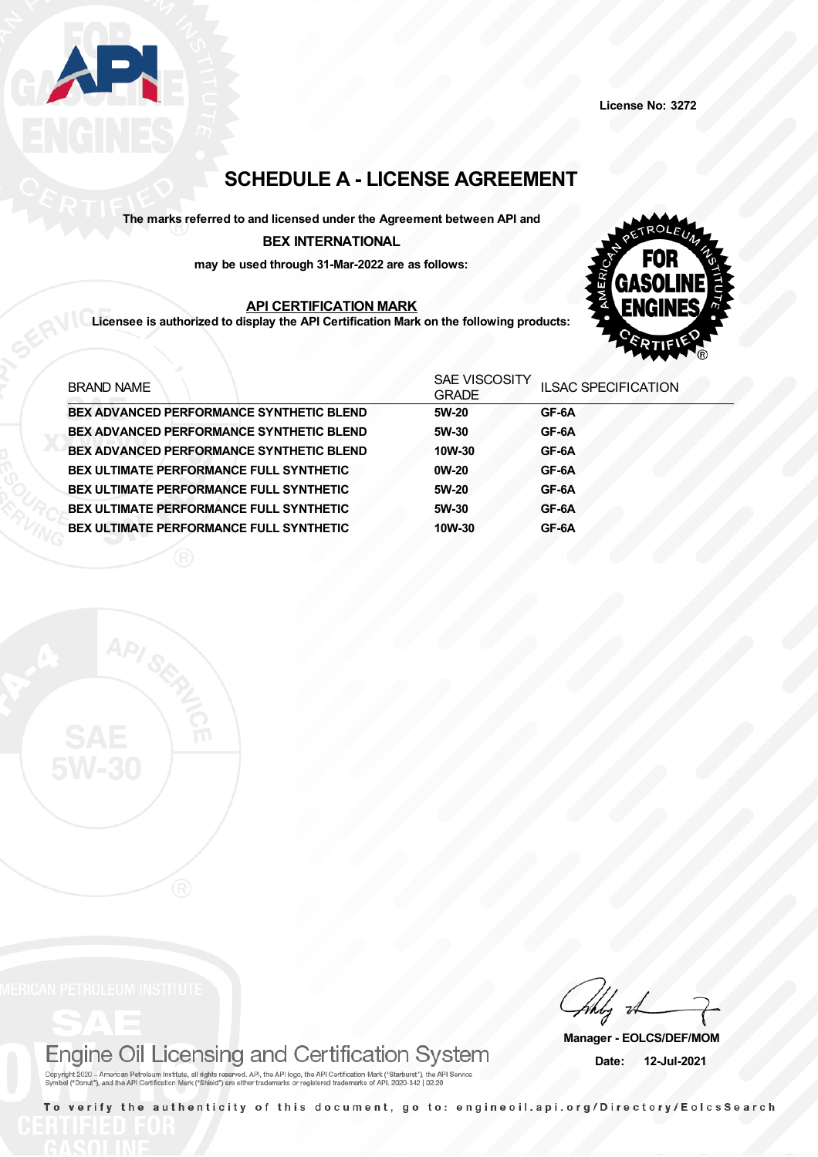

## **SCHEDULE A - LICENSE AGREEMENT**

**The marks referred to and licensed under the Agreement between API and BEX INTERNATIONAL**

**may be used through 31-Mar-2022 are as follows:**

## **API CERTIFICATION MARK**

**Licensee is authorized to display the API Certification Mark on the following products:**



| <b>BRAND NAME</b>                               | <b>SAE VISCOSITY</b><br><b>GRADE</b> | <b>ILSAC SPECIFICATION</b> |
|-------------------------------------------------|--------------------------------------|----------------------------|
| <b>BEX ADVANCED PERFORMANCE SYNTHETIC BLEND</b> | 5W-20                                | GF-6A                      |
| <b>BEX ADVANCED PERFORMANCE SYNTHETIC BLEND</b> | 5W-30                                | GF-6A                      |
| BEX ADVANCED PERFORMANCE SYNTHETIC BLEND        | 10W-30                               | GF-6A                      |
| BEX ULTIMATE PERFORMANCE FULL SYNTHETIC         | $0W-20$                              | GF-6A                      |
| <b>BEX ULTIMATE PERFORMANCE FULL SYNTHETIC</b>  | 5W-20                                | GF-6A                      |
| <b>BEX ULTIMATE PERFORMANCE FULL SYNTHETIC</b>  | 5W-30                                | GF-6A                      |
| BEX ULTIMATE PERFORMANCE FULL SYNTHETIC         | 10W-30                               | GF-6A                      |



# Engine Oil Licensing and Certification System

**Manager - EOLCS/DEF/MOM Date: 12-Jul-2021**